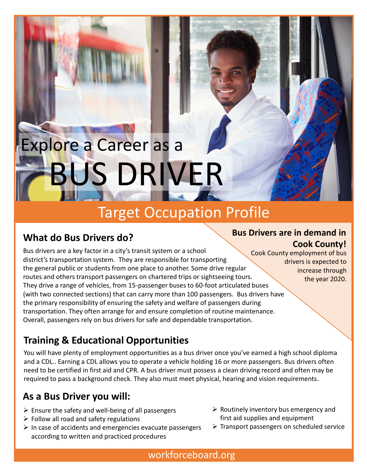# US DRIVER Explore a Career as a

# Target Occupation Profile

## **What do Bus Drivers do?**

Bus drivers are a key factor in a city's transit system or a school district's transportation system. They are responsible for transporting the general public or students from one place to another. Some drive regular routes and others transport passengers on chartered trips or sightseeing tours. They drive a range of vehicles, from 15-passenger buses to 60-foot articulated buses (with two connected sections) that can carry more than 100 passengers. Bus drivers have the primary responsibility of ensuring the safety and welfare of passengers during transportation. They often arrange for and ensure completion of routine maintenance. Overall, passengers rely on bus drivers for safe and dependable transportation.

## **Training & Educational Opportunities**

You will have plenty of employment opportunities as a bus driver once you've earned a high school diploma and a CDL.. Earning a CDL allows you to operate a vehicle holding 16 or more passengers. Bus drivers often need to be certified in first aid and CPR. A bus driver must possess a clean driving record and often may be required to pass a background check. They also must meet physical, hearing and vision requirements.

## **As a Bus Driver you will:**

- $\triangleright$  Ensure the safety and well-being of all passengers
- $\triangleright$  Follow all road and safety regulations
- $\triangleright$  In case of accidents and emergencies evacuate passengers according to written and practiced procedures
- $\triangleright$  Routinely inventory bus emergency and first aid supplies and equipment
- $\triangleright$  Transport passengers on scheduled service

#### **Bus Drivers are in demand in Cook County!**

Cook County employment of bus drivers is expected to increase through the year 2020.

workforceboard.org